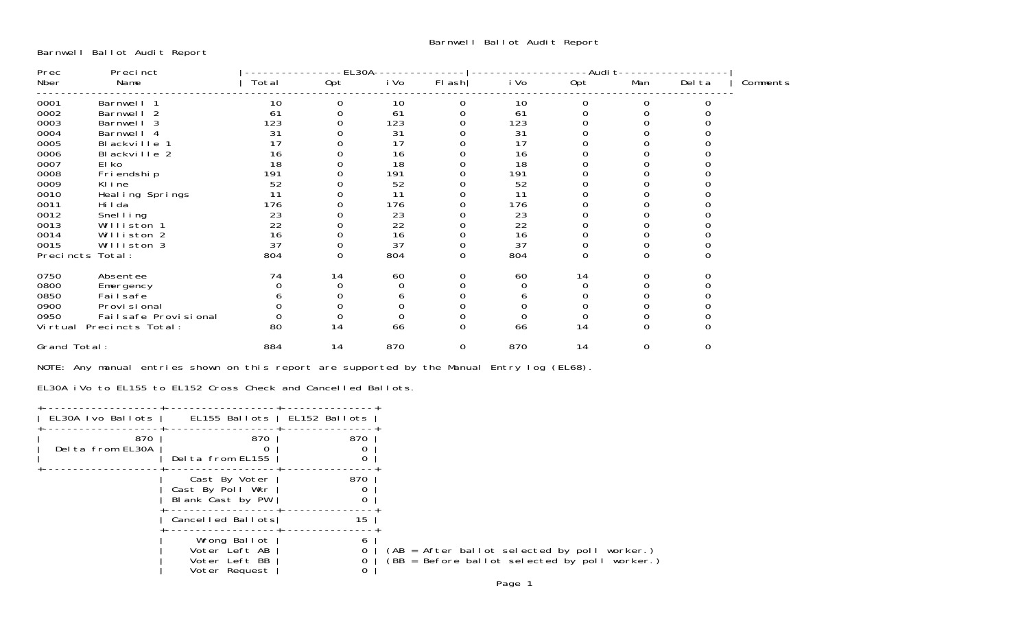Barnwell Ballot Audit Report

| Prec<br>Precinct |                            | EL30A |     |      |        | -Audi t |          |     |        |          |
|------------------|----------------------------|-------|-----|------|--------|---------|----------|-----|--------|----------|
| Nber             | Name                       | Total | Opt | i Vo | FI ash | i Vo    | Opt      | Man | Del ta | Comments |
| 0001             | Barnwell 1                 | 10    |     | 10   |        | 10      |          |     |        |          |
| 0002             | Barnwell<br>$\overline{2}$ | 61    |     | 61   |        | 61      |          |     |        |          |
| 0003             | Barnwell 3                 | 123   |     | 123  |        | 123     |          |     |        |          |
| 0004             | Barnwell 4                 | 31    |     | 31   |        | 31      |          |     |        |          |
| 0005             | Blackville 1               | 17    |     | 17   |        | 17      |          |     |        |          |
| 0006             | Blackville 2               | 16    |     | 16   |        | 16      |          |     |        |          |
| 0007             | El ko                      | 18    |     | 18   |        | 18      |          |     |        |          |
| 0008             | Fri endshi p               | 191   |     | 191  |        | 191     |          |     |        |          |
| 0009             | KI i ne                    | 52    |     | 52   |        | 52      |          |     |        |          |
| 0010             | Heal ing Springs           | 11    |     | 11   |        | 11      |          |     |        |          |
| 0011             | Hi I da                    | 176   |     | 176  |        | 176     |          |     |        |          |
| 0012             | Snel I ing                 | 23    |     | 23   |        | 23      |          |     |        |          |
| 0013             | Williston 1                | 22    |     | 22   |        | 22      |          |     |        |          |
| 0014             | Williston 2                | 16    |     | 16   |        | 16      |          |     |        |          |
| 0015             | Williston 3                | 37    |     | 37   |        | 37      |          |     |        |          |
|                  | Precincts Total:           | 804   | 0   | 804  | 0      | 804     | $\Omega$ |     |        |          |
| 0750             | Absentee                   | 74    | 14  | 60   |        | 60      | 14       |     |        |          |
| 0800             | Emergency                  |       |     |      |        |         |          |     |        |          |
| 0850             | Failsafe                   |       |     |      |        |         |          |     |        |          |
| 0900             | Provi si onal              |       |     |      |        |         |          |     |        |          |
| 0950             | Failsafe Provisional       |       |     |      |        |         |          |     |        |          |
| Vi rtual         | Precincts Total:           | 80    | 14  | 66   | 0      | 66      | 14       |     |        |          |
| Grand Total:     |                            | 884   | 14  | 870  | 0      | 870     | 14       | 0   |        |          |

NOTE: Any manual entries shown on this report are supported by the Manual Entry log (EL68).

EL30A iVo to EL155 to EL152 Cross Check and Cancelled Ballots.

| EL30A Ivo Ballots       | EL155 Ballots   EL152 Ballots                                   |        |
|-------------------------|-----------------------------------------------------------------|--------|
| 870<br>Delta from EL30A | 870<br>Delta from EL155                                         | 870    |
|                         | Cast By Voter<br>Cast By Poll Wkr<br>Blank Cast by PW           | 870    |
|                         | Cancelled Ballots                                               | 15     |
|                         | Wrong Ballot<br>Voter Left AB<br>Voter Left BB<br>Voter Request | 6<br>0 |
|                         |                                                                 |        |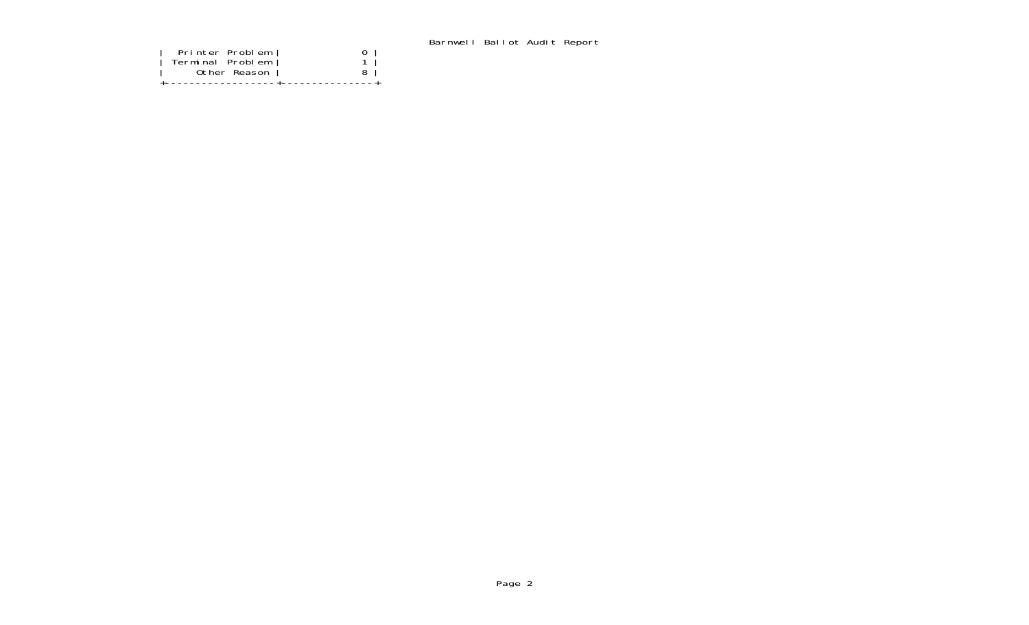## Barnwell Ballot Audit Report

| Printer Problem<br>Terminal Problem<br>Other Reason | ---------------+----------------- |  |
|-----------------------------------------------------|-----------------------------------|--|
|                                                     |                                   |  |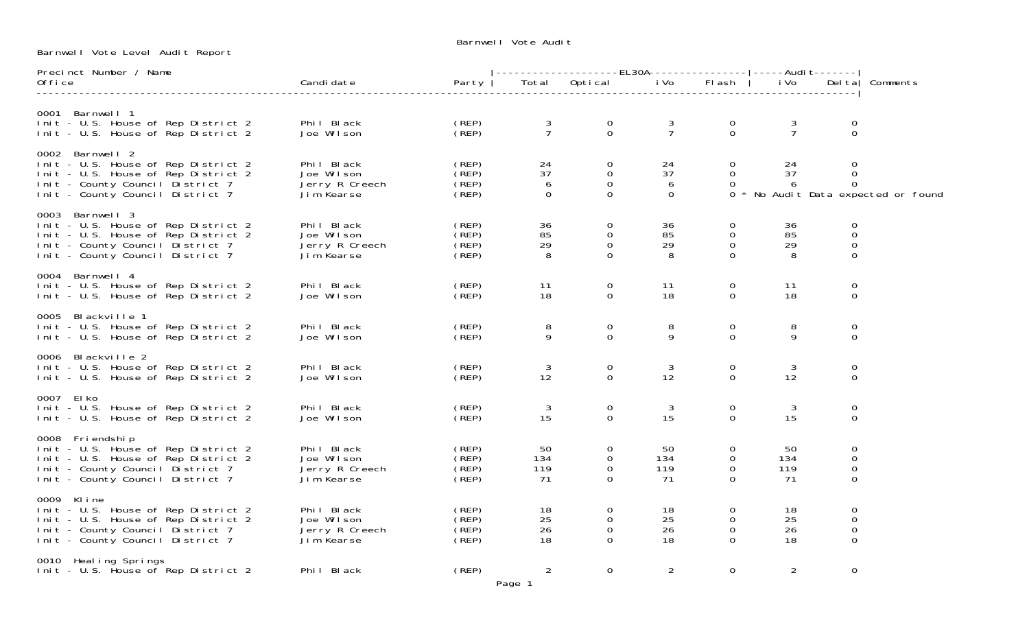Barnwell Vote Audit

Barnwell Vote Level Audit Report

| Precinct Number / Name                                                                                                                                                |                                                          |                                        |                           | ----------------EL30A---------------- -----Audit------- |                           |                                                 |                        |                                             |                                   |
|-----------------------------------------------------------------------------------------------------------------------------------------------------------------------|----------------------------------------------------------|----------------------------------------|---------------------------|---------------------------------------------------------|---------------------------|-------------------------------------------------|------------------------|---------------------------------------------|-----------------------------------|
| 0ffice                                                                                                                                                                | Candi date                                               | Party                                  | Total                     | Optical                                                 | i Vo                      | <b>FI</b> ash                                   | i Vo                   | Del tal                                     | Comments                          |
| 0001 Barnwell 1<br>Init - U.S. House of Rep District 2<br>Init - U.S. House of Rep District 2                                                                         | Phil Black<br>Joe Wilson                                 | (REP)<br>CREP <sub>)</sub>             | $\frac{3}{7}$             | $\overline{0}$<br>$\Omega$                              | $rac{3}{7}$               | 0<br>$\Omega$                                   | 3<br>$\overline{7}$    | $\Omega$<br>$\Omega$                        |                                   |
| 0002 Barnwell 2<br>Init - U.S. House of Rep District 2<br>Init - U.S. House of Rep District 2<br>Init - County Council District 7<br>Init - County Council District 7 | Phil Black<br>Joe Wilson<br>Jerry R Creech<br>Jim Kearse | (REP)<br>(REP)<br>(REP)<br>(REP)       | 24<br>37<br>6<br>$\Omega$ | 0<br>0<br>$\mathbf 0$<br>$\Omega$                       | 24<br>37<br>6<br>$\Omega$ | 0<br>$\Omega$<br>$\Omega$<br>$\Omega$           | 24<br>37<br>6          | $\Omega$<br>$\mathbf 0$<br>$\Omega$         | * No Audit Data expected or found |
| 0003 Barnwell 3<br>Init - U.S. House of Rep District 2<br>Init - U.S. House of Rep District 2<br>Init - County Council District 7<br>Init - County Council District 7 | Phil Black<br>Joe Wilson<br>Jerry R Creech<br>Jim Kearse | (REP)<br>(REP)<br>(REP)<br>(REP)       | 36<br>85<br>29<br>8       | $\Omega$<br>$\Omega$<br>$\mathbf 0$<br>$\Omega$         | 36<br>85<br>29<br>8       | $\Omega$<br>$\Omega$<br>$\mathbf 0$<br>$\Omega$ | 36<br>85<br>29<br>8    | 0<br>$\mathbf 0$<br>$\mathbf 0$<br>$\Omega$ |                                   |
| 0004 Barnwell 4<br>Init - U.S. House of Rep District 2<br>Init - U.S. House of Rep District 2                                                                         | Phil Black<br>Joe Wilson                                 | (REP)<br>(REP)                         | 11<br>18                  | 0<br>0                                                  | 11<br>18                  | 0<br>$\Omega$                                   | 11<br>18               | 0<br>0                                      |                                   |
| 0005 Blackville 1<br>Init - U.S. House of Rep District 2<br>Init - U.S. House of Rep District 2                                                                       | Phil Black<br>Joe Wilson                                 | (REP)<br>(REP)                         | 8<br>9                    | $\mathbf 0$<br>$\mathbf 0$                              | 8<br>9                    | $\mathbf 0$<br>$\mathbf 0$                      | 8<br>9                 | 0<br>$\overline{0}$                         |                                   |
| 0006 Blackville 2<br>Init - U.S. House of Rep District 2<br>Init - U.S. House of Rep District 2                                                                       | Phil Black<br>Joe Wilson                                 | (REP)<br>(REP)                         | 3<br>12                   | 0<br>$\Omega$                                           | 3<br>12                   | 0<br>$\Omega$                                   | 3<br>12                | 0<br>$\Omega$                               |                                   |
| 0007 El ko<br>Init - U.S. House of Rep District 2<br>Init - U.S. House of Rep District 2                                                                              | Phil Black<br>Joe Wilson                                 | (REP)<br>(REP)                         | 3<br>15                   | 0<br>$\mathbf 0$                                        | 3<br>15                   | 0<br>$\mathbf 0$                                | 3<br>15                | $\mathbf 0$<br>$\Omega$                     |                                   |
| 0008 Friendship<br>Init - U.S. House of Rep District 2<br>Init - U.S. House of Rep District 2<br>Init - County Council District 7<br>Init - County Council District 7 | Phil Black<br>Joe Wilson<br>Jerry R Creech<br>Jim Kearse | (REP)<br>(REP)<br>$($ REP $)$<br>(REF) | 50<br>134<br>119<br>71    | $\Omega$<br>$\Omega$<br>$\Omega$<br>$\Omega$            | 50<br>134<br>119<br>71    | $\Omega$<br>$\Omega$<br>$\Omega$<br>$\Omega$    | 50<br>134<br>119<br>71 | $\Omega$<br>$\mathbf 0$<br>0<br>$\Omega$    |                                   |
| 0009 Kline<br>Init - U.S. House of Rep District 2<br>Init - U.S. House of Rep District 2<br>Init - County Council District 7<br>Init - County Council District 7      | Phil Black<br>Joe Wilson<br>Jerry R Creech<br>Jim Kearse | (REP)<br>(REP)<br>(REP)<br>$($ REP $)$ | 18<br>25<br>26<br>18      | 0<br>$\mathbf 0$<br>$\Omega$<br>$\Omega$                | 18<br>25<br>26<br>18      | 0<br>0<br>$\Omega$<br>$\Omega$                  | 18<br>25<br>26<br>18   | 0<br>$\mathsf{O}\xspace$<br>0<br>$\Omega$   |                                   |
| 0010 Heal ing Springs<br>Init - U.S. House of Rep District 2                                                                                                          | Phil Black                                               | (REP)                                  | $\overline{2}$<br>Page 1  | $\Omega$                                                | $\overline{2}$            | $\Omega$                                        | $\overline{2}$         | $\Omega$                                    |                                   |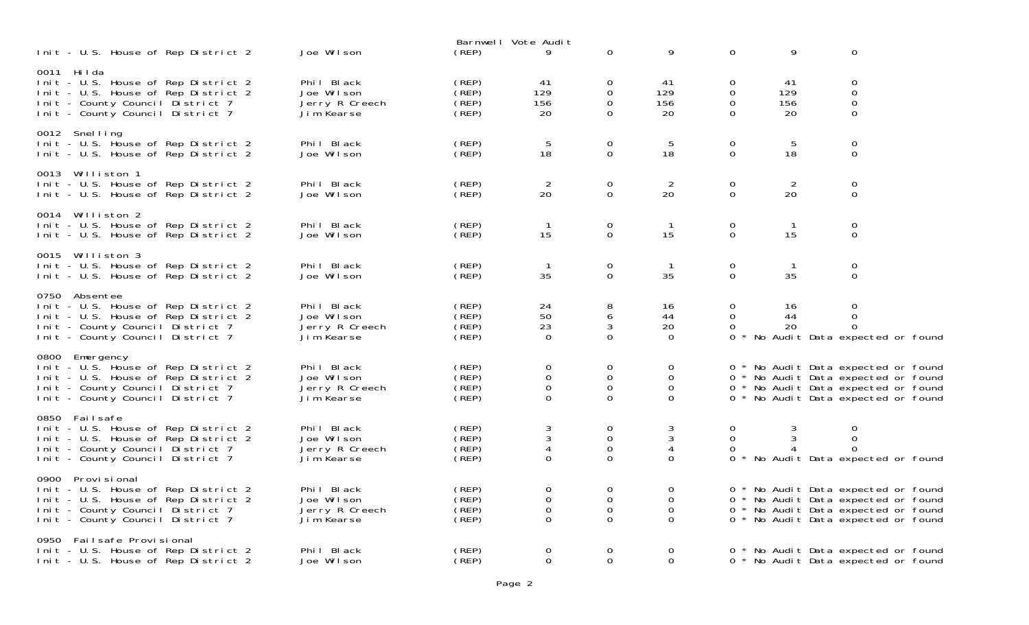| Init - U.S. House of Rep District 2                                                                                                                                    | Joe Wilson                                               | (REP)                                  | Barnwell Vote Audit<br>9                                 | $\mathbf 0$                                                         | 9                                               | 0                                        | 9                      | $\mathbf 0$                                                                                                                                              |
|------------------------------------------------------------------------------------------------------------------------------------------------------------------------|----------------------------------------------------------|----------------------------------------|----------------------------------------------------------|---------------------------------------------------------------------|-------------------------------------------------|------------------------------------------|------------------------|----------------------------------------------------------------------------------------------------------------------------------------------------------|
| 0011 Hilda<br>Init - U.S. House of Rep District 2<br>Init - U.S. House of Rep District 2<br>Init - County Council District 7<br>Init - County Council District 7       | Phil Black<br>Joe Wilson<br>Jerry R Creech<br>Jim Kearse | (REP)<br>(REP)<br>(REP)<br>(REP)       | 41<br>129<br>156<br>20                                   | 0<br>0<br>$\Omega$<br>$\overline{0}$                                | 41<br>129<br>156<br>20                          | 0<br>$\mathbf 0$<br>$\Omega$<br>$\Omega$ | 41<br>129<br>156<br>20 | 0<br>$\boldsymbol{0}$<br>$\overline{0}$<br>$\mathbf 0$                                                                                                   |
| 0012 Snelling<br>Init - U.S. House of Rep District 2<br>Init - U.S. House of Rep District 2                                                                            | Phil Black<br>Joe Wilson                                 | (REP)<br>(REP)                         | 5<br>18                                                  | 0<br>$\mathbf 0$                                                    | 5<br>18                                         | $\mathbf 0$<br>$\mathbf 0$               | 5<br>18                | $\boldsymbol{0}$<br>$\mathbf 0$                                                                                                                          |
| 0013 Williston 1<br>Init - U.S. House of Rep District 2<br>Init - U.S. House of Rep District 2                                                                         | Phil Black<br>Joe Wilson                                 | (REP)<br>(REP)                         | $\overline{2}$<br>20                                     | $\mathbf 0$<br>$\mathbf 0$                                          | 2<br>20                                         | 0<br>$\mathbf 0$                         | 2<br>20                | $\mathbf 0$<br>$\mathbf 0$                                                                                                                               |
| 0014 Williston 2<br>Init - U.S. House of Rep District 2<br>Init - U.S. House of Rep District 2                                                                         | Phil Black<br>Joe Wilson                                 | (REP)<br>(REF)                         | $\overline{1}$<br>15                                     | $\mathbf 0$<br>0                                                    | $\overline{1}$<br>15                            | $\mathbf 0$<br>0                         | $\overline{1}$<br>15   | $\mathbf 0$<br>$\mathbf 0$                                                                                                                               |
| 0015 Williston 3<br>Init - U.S. House of Rep District 2<br>Init - U.S. House of Rep District 2                                                                         | Phil Black<br>Joe Wilson                                 | (REP)<br>(REP)                         | $\overline{1}$<br>35                                     | 0<br>$\Omega$                                                       | $\overline{1}$<br>35                            | 0<br>$\Omega$                            | $\overline{1}$<br>35   | $\mathbf 0$<br>$\Omega$                                                                                                                                  |
| 0750 Absentee<br>Init - U.S. House of Rep District 2<br>Init - U.S. House of Rep District 2<br>Init - County Council District 7<br>Init - County Council District 7    | Phil Black<br>Joe Wilson<br>Jerry R Creech<br>Jim Kearse | (REP)<br>(REP)<br>(REP)<br>(REF)       | 24<br>50<br>23<br>$\mathbf 0$                            | $\begin{array}{c} 8 \\ 6 \end{array}$<br>$\mathfrak{Z}$<br>$\Omega$ | 16<br>44<br>20<br>$\Omega$                      | 0<br>$\Omega$<br>$\Omega$<br>$\Omega$    | 16<br>44<br>20         | $\mathbf 0$<br>$\Omega$<br>$\Omega$<br>No Audit Data expected or found                                                                                   |
| 0800 Emergency<br>Init - U.S. House of Rep District 2<br>Init - U.S. House of Rep District 2<br>Init - County Council District 7<br>Init - County Council District 7   | Phil Black<br>Joe Wilson<br>Jerry R Creech<br>Jim Kearse | (REP)<br>(REP)<br>(REP)<br>(REP)       | $\mathbf 0$<br>$\mathbf 0$<br>$\mathbf 0$<br>$\mathbf 0$ | $\mathbf 0$<br>$\mathbf 0$<br>$\mathbf 0$<br>$\Omega$               | 0<br>$\Omega$<br>$\mathbf{0}$<br>$\overline{O}$ |                                          |                        | 0 * No Audit Data expected or found<br>0 * No Audit Data expected or found<br>0 * No Audit Data expected or found<br>0 * No Audit Data expected or found |
| 0850 Failsafe<br>Init - U.S. House of Rep District 2<br>Init - U.S. House of Rep District 2<br>Init - County Council District 7<br>Init - County Council District 7    | Phil Black<br>Joe Wilson<br>Jerry R Creech<br>Jim Kearse | (REP)<br>(REP)<br>$($ REP $)$<br>(REP) | $\mathbf{3}$<br>3<br>4<br>$\mathbf{0}$                   | $\mathbf 0$<br>$\mathbf 0$<br>$\mathbf 0$<br>$\mathbf 0$            | 3<br>3<br>4<br>$\Omega$                         | 0<br>$\Omega$<br>0<br>$\Omega$           | 3<br>3                 | $\boldsymbol{0}$<br>$\mathbf 0$<br>$\Omega$<br>* No Audit Data expected or found                                                                         |
| 0900 Provisional<br>Init - U.S. House of Rep District 2<br>Init - U.S. House of Rep District 2<br>Init - County Council District 7<br>Init - County Council District 7 | Phil Black<br>Joe Wilson<br>Jerry R Creech<br>Jim Kearse | (REP)<br>(REP)<br>(REP)<br>(REF)       | $\mathbf 0$<br>$\mathbf 0$<br>$\mathbf 0$<br>$\Omega$    | 0<br>$\mathbf 0$<br>$\mathbf 0$<br>$\Omega$                         | 0<br>$\mathbf 0$<br>0<br>$\Omega$               |                                          |                        | 0 * No Audit Data expected or found<br>0 * No Audit Data expected or found<br>0 * No Audit Data expected or found<br>0 * No Audit Data expected or found |
| 0950 Failsafe Provisional<br>Init - U.S. House of Rep District 2<br>Init - U.S. House of Rep District 2                                                                | Phil Black<br>Joe Wilson                                 | (REP)<br>(REF)                         | $\mathbf 0$<br>$\mathbf 0$                               | 0<br>$\Omega$                                                       | 0<br>$\mathbf{O}$                               | 0                                        |                        | * No Audit Data expected or found<br>0 * No Audit Data expected or found                                                                                 |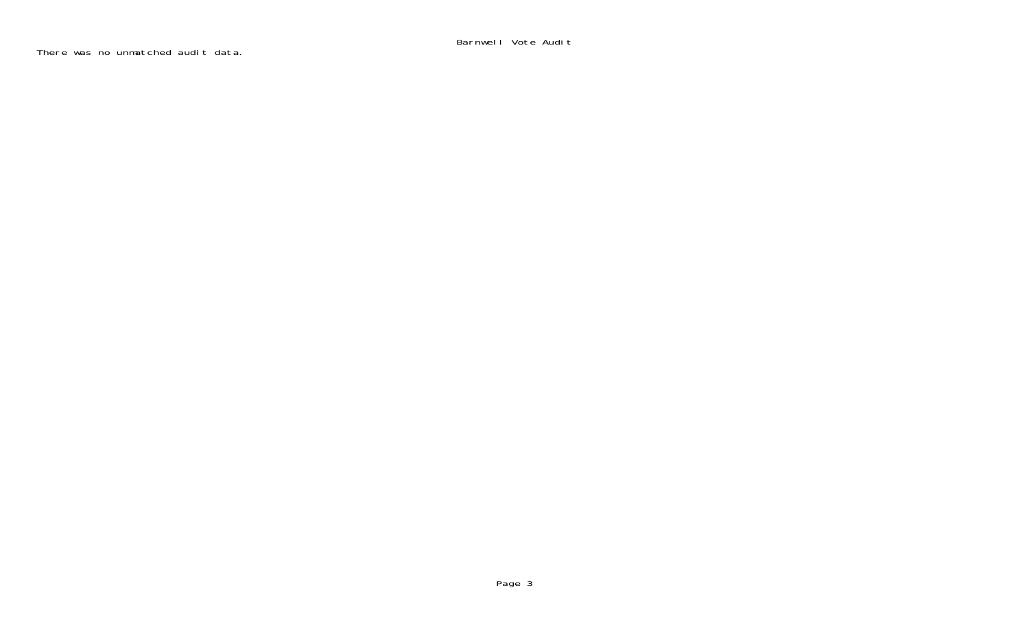Barnwell Vote Audit

There was no unmatched audit data.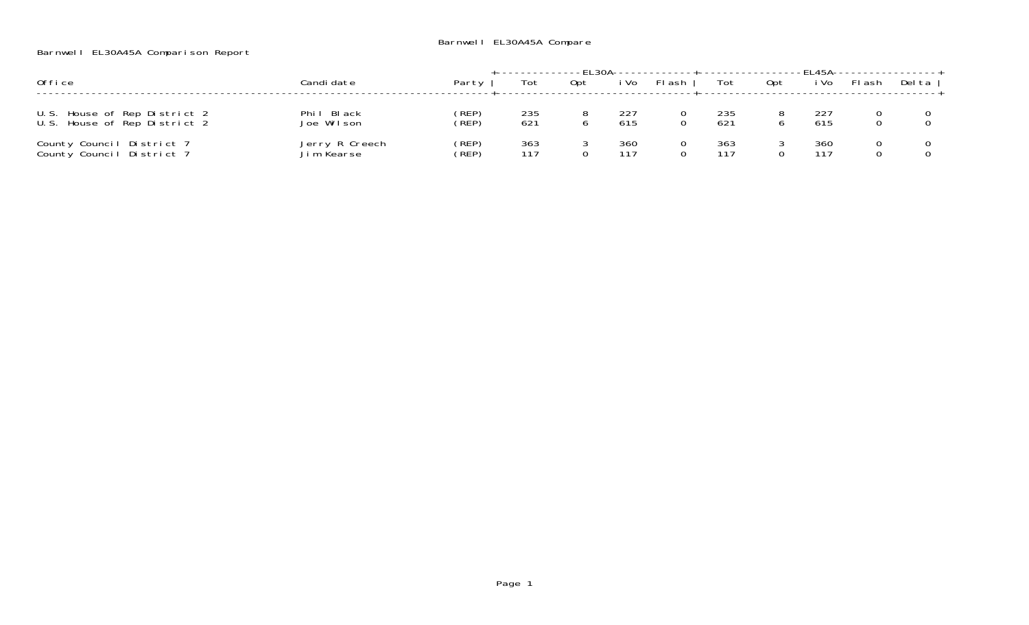## Barnwell EL30A45A Comparison Report

|                                                              |                              |                |                        |     |            | .FI 30A-------------+-----------------FI 45A------------------ |            |     |            |       |        |
|--------------------------------------------------------------|------------------------------|----------------|------------------------|-----|------------|----------------------------------------------------------------|------------|-----|------------|-------|--------|
| Office                                                       | Candi date                   | Party I        | Tot                    | Opt | i Vo       | FI ash                                                         | Tot        | Opt | i Vo       | Flash | Del ta |
| U.S. House of Rep District 2<br>U.S. House of Rep District 2 | Phil Black<br>Joe Wilson     | (REP)<br>(REP) | 235<br>62 <sup>1</sup> |     | 227<br>615 |                                                                | 235<br>621 |     | 615        |       |        |
| County Council District 7<br>County Council District 7       | Jerry R Creech<br>Jim Kearse | (REP)<br>(`REP | 363<br>117             |     | 360<br>117 |                                                                | 363<br>117 |     | 360<br>117 |       |        |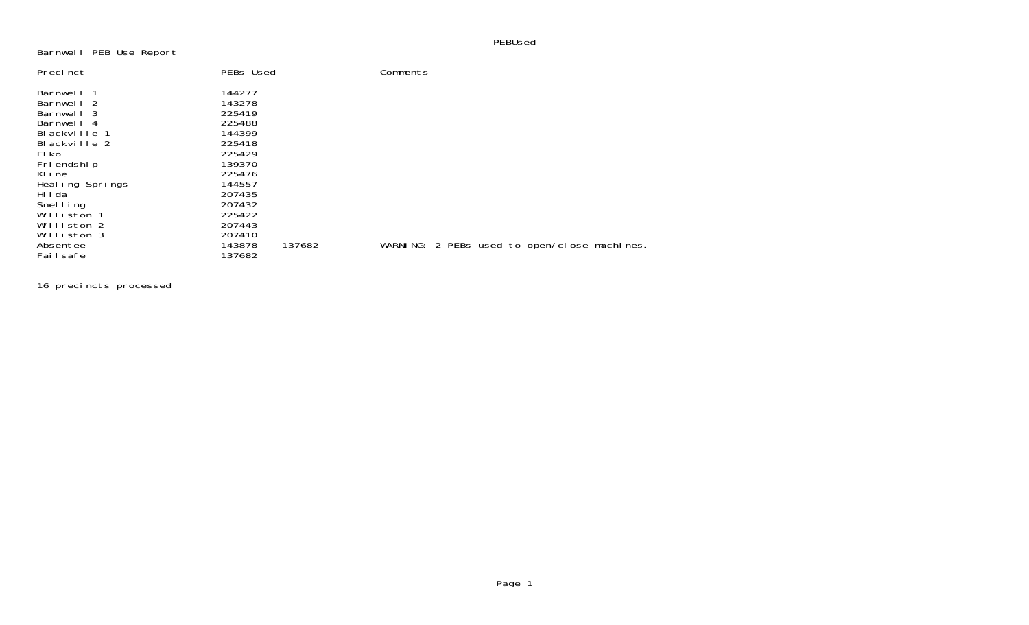PEBUsed

## Barnwell PEB Use Report

| Precinct        | PEBs Used |        | Comments                                    |  |
|-----------------|-----------|--------|---------------------------------------------|--|
| Barnwell 1      | 144277    |        |                                             |  |
| Barnwell 2      | 143278    |        |                                             |  |
| Barnwell 3      | 225419    |        |                                             |  |
| Barnwell 4      | 225488    |        |                                             |  |
| Blackville 1    | 144399    |        |                                             |  |
| Blackville 2    | 225418    |        |                                             |  |
| El ko           | 225429    |        |                                             |  |
| Fri endshi p    | 139370    |        |                                             |  |
| KIine           | 225476    |        |                                             |  |
| Healing Springs | 144557    |        |                                             |  |
| Hi I da         | 207435    |        |                                             |  |
| Snelling        | 207432    |        |                                             |  |
| Williston 1     | 225422    |        |                                             |  |
| Williston 2     | 207443    |        |                                             |  |
| Williston 3     | 207410    |        |                                             |  |
| Absentee        | 143878    | 137682 | WARNING: 2 PEBs used to open/close machines |  |
| Failsafe        | 137682    |        |                                             |  |

16 precincts processed